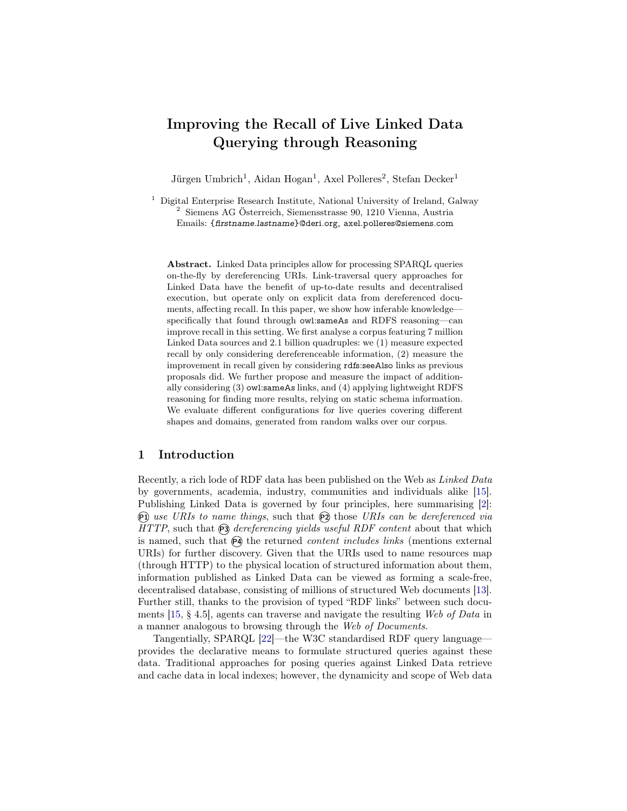# Improving the Recall of Live Linked Data Querying through Reasoning

Jürgen Umbrich<sup>1</sup>, Aidan Hogan<sup>1</sup>, Axel Polleres<sup>2</sup>, Stefan Decker<sup>1</sup>

<sup>1</sup> Digital Enterprise Research Institute, National University of Ireland, Galway <sup>2</sup> Siemens AG Österreich, Siemensstrasse 90, 1210 Vienna, Austria Emails: {firstname.lastname}@deri.org, axel.polleres@siemens.com

Abstract. Linked Data principles allow for processing SPARQL queries on-the-fly by dereferencing URIs. Link-traversal query approaches for Linked Data have the benefit of up-to-date results and decentralised execution, but operate only on explicit data from dereferenced documents, affecting recall. In this paper, we show how inferable knowledge specifically that found through owl:sameAs and RDFS reasoning—can improve recall in this setting. We first analyse a corpus featuring 7 million Linked Data sources and 2.1 billion quadruples: we (1) measure expected recall by only considering dereferenceable information, (2) measure the improvement in recall given by considering rdfs:seeAlso links as previous proposals did. We further propose and measure the impact of additionally considering (3) owl:sameAs links, and (4) applying lightweight RDFS reasoning for finding more results, relying on static schema information. We evaluate different configurations for live queries covering different shapes and domains, generated from random walks over our corpus.

# 1 Introduction

Recently, a rich lode of RDF data has been published on the Web as Linked Data by governments, academia, industry, communities and individuals alike [\[15\]](#page-15-0). Publishing Linked Data is governed by four principles, here summarising [\[2\]](#page-14-0):  $\Omega$  use URIs to name things, such that  $\Omega$  those URIs can be dereferenced via  $HTTP$ , such that  $\Theta$  *dereferencing yields useful RDF content* about that which is named, such that  $\Theta$  the returned *content includes links* (mentions external URIs) for further discovery. Given that the URIs used to name resources map (through HTTP) to the physical location of structured information about them, information published as Linked Data can be viewed as forming a scale-free, decentralised database, consisting of millions of structured Web documents [\[13\]](#page-15-1). Further still, thanks to the provision of typed "RDF links" between such documents [\[15,](#page-15-0) § 4.5], agents can traverse and navigate the resulting Web of Data in a manner analogous to browsing through the Web of Documents.

Tangentially, SPARQL [\[22\]](#page-15-2)—the W3C standardised RDF query language provides the declarative means to formulate structured queries against these data. Traditional approaches for posing queries against Linked Data retrieve and cache data in local indexes; however, the dynamicity and scope of Web data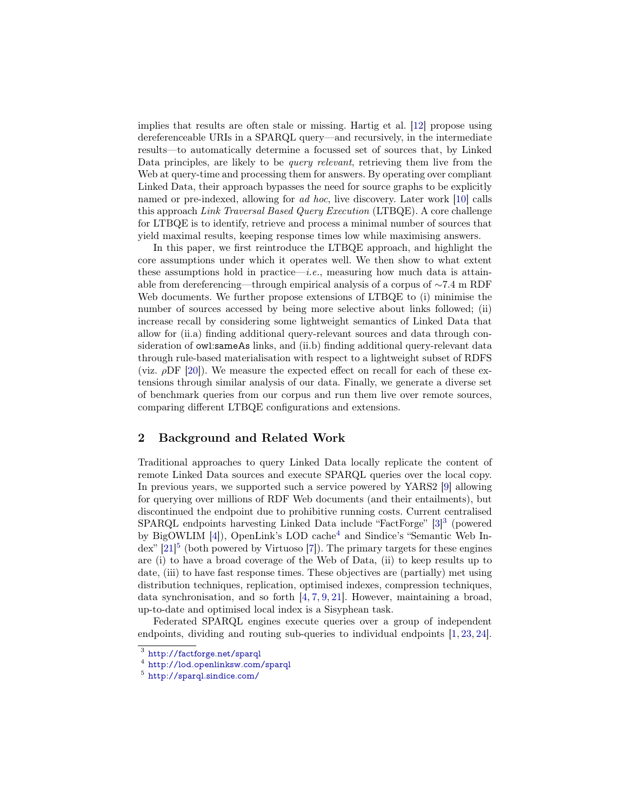implies that results are often stale or missing. Hartig et al. [\[12\]](#page-15-3) propose using dereferenceable URIs in a SPARQL query—and recursively, in the intermediate results—to automatically determine a focussed set of sources that, by Linked Data principles, are likely to be *query relevant*, retrieving them live from the Web at query-time and processing them for answers. By operating over compliant Linked Data, their approach bypasses the need for source graphs to be explicitly named or pre-indexed, allowing for ad hoc, live discovery. Later work [\[10\]](#page-15-4) calls this approach Link Traversal Based Query Execution (LTBQE). A core challenge for LTBQE is to identify, retrieve and process a minimal number of sources that yield maximal results, keeping response times low while maximising answers.

In this paper, we first reintroduce the LTBQE approach, and highlight the core assumptions under which it operates well. We then show to what extent these assumptions hold in practice—*i.e.*, measuring how much data is attainable from dereferencing—through empirical analysis of a corpus of ∼7.4 m RDF Web documents. We further propose extensions of LTBQE to (i) minimise the number of sources accessed by being more selective about links followed; (ii) increase recall by considering some lightweight semantics of Linked Data that allow for (ii.a) finding additional query-relevant sources and data through consideration of owl:sameAs links, and (ii.b) finding additional query-relevant data through rule-based materialisation with respect to a lightweight subset of RDFS (viz.  $\rho$ DF [\[20\]](#page-15-5)). We measure the expected effect on recall for each of these extensions through similar analysis of our data. Finally, we generate a diverse set of benchmark queries from our corpus and run them live over remote sources, comparing different LTBQE configurations and extensions.

# 2 Background and Related Work

Traditional approaches to query Linked Data locally replicate the content of remote Linked Data sources and execute SPARQL queries over the local copy. In previous years, we supported such a service powered by YARS2 [\[9\]](#page-15-6) allowing for querying over millions of RDF Web documents (and their entailments), but discontinued the endpoint due to prohibitive running costs. Current centralised SPARQL endpoints harvesting Linked Data include "FactForge" [\[3\]](#page-14-1)<sup>[3](#page-1-0)</sup> (powered by BigOWLIM [\[4\]](#page-15-7)), OpenLink's LOD cache<sup>[4](#page-1-1)</sup> and Sindice's "Semantic Web Index" [\[21\]](#page-15-8) [5](#page-1-2) (both powered by Virtuoso [\[7\]](#page-15-9)). The primary targets for these engines are (i) to have a broad coverage of the Web of Data, (ii) to keep results up to date, (iii) to have fast response times. These objectives are (partially) met using distribution techniques, replication, optimised indexes, compression techniques, data synchronisation, and so forth [\[4,](#page-15-7) [7,](#page-15-9) [9,](#page-15-6) [21\]](#page-15-8). However, maintaining a broad, up-to-date and optimised local index is a Sisyphean task.

Federated SPARQL engines execute queries over a group of independent endpoints, dividing and routing sub-queries to individual endpoints [\[1,](#page-14-2) [23,](#page-15-10) [24\]](#page-15-11).

<span id="page-1-0"></span> $^3$ <http://factforge.net/sparql>

<span id="page-1-1"></span><sup>4</sup> <http://lod.openlinksw.com/sparql>

<span id="page-1-2"></span><sup>5</sup> <http://sparql.sindice.com/>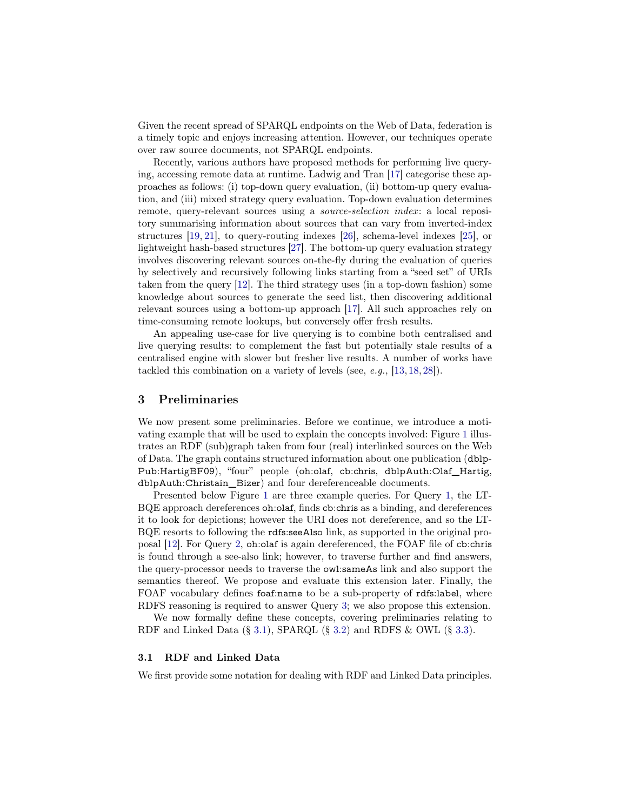Given the recent spread of SPARQL endpoints on the Web of Data, federation is a timely topic and enjoys increasing attention. However, our techniques operate over raw source documents, not SPARQL endpoints.

Recently, various authors have proposed methods for performing live querying, accessing remote data at runtime. Ladwig and Tran [\[17\]](#page-15-12) categorise these approaches as follows: (i) top-down query evaluation, (ii) bottom-up query evaluation, and (iii) mixed strategy query evaluation. Top-down evaluation determines remote, query-relevant sources using a *source-selection index*: a local repository summarising information about sources that can vary from inverted-index structures [\[19,](#page-15-13) [21\]](#page-15-8), to query-routing indexes [\[26\]](#page-15-14), schema-level indexes [\[25\]](#page-15-15), or lightweight hash-based structures [\[27\]](#page-15-16). The bottom-up query evaluation strategy involves discovering relevant sources on-the-fly during the evaluation of queries by selectively and recursively following links starting from a "seed set" of URIs taken from the query [\[12\]](#page-15-3). The third strategy uses (in a top-down fashion) some knowledge about sources to generate the seed list, then discovering additional relevant sources using a bottom-up approach [\[17\]](#page-15-12). All such approaches rely on time-consuming remote lookups, but conversely offer fresh results.

An appealing use-case for live querying is to combine both centralised and live querying results: to complement the fast but potentially stale results of a centralised engine with slower but fresher live results. A number of works have tackled this combination on a variety of levels (see, e.g., [\[13,](#page-15-1) [18,](#page-15-17) [28\]](#page-15-18)).

### 3 Preliminaries

We now present some preliminaries. Before we continue, we introduce a motivating example that will be used to explain the concepts involved: Figure [1](#page-3-0) illustrates an RDF (sub)graph taken from four (real) interlinked sources on the Web of Data. The graph contains structured information about one publication (dblp-Pub:HartigBF09), "four" people (oh:olaf, cb:chris, dblpAuth:Olaf\_Hartig, dblpAuth:Christain\_Bizer) and four dereferenceable documents.

Presented below Figure [1](#page-3-0) are three example queries. For Query [1,](#page-3-1) the LT-BQE approach dereferences oh:olaf, finds cb:chris as a binding, and dereferences it to look for depictions; however the URI does not dereference, and so the LT-BQE resorts to following the rdfs:seeAlso link, as supported in the original proposal [\[12\]](#page-15-3). For Query [2,](#page-3-2) oh:olaf is again dereferenced, the FOAF file of cb:chris is found through a see-also link; however, to traverse further and find answers, the query-processor needs to traverse the owl:sameAs link and also support the semantics thereof. We propose and evaluate this extension later. Finally, the FOAF vocabulary defines foaf:name to be a sub-property of rdfs:label, where RDFS reasoning is required to answer Query [3;](#page-3-3) we also propose this extension.

We now formally define these concepts, covering preliminaries relating to RDF and Linked Data (§ [3.1\)](#page-2-0), SPARQL (§ [3.2\)](#page-4-0) and RDFS & OWL (§ [3.3\)](#page-4-1).

# <span id="page-2-0"></span>3.1 RDF and Linked Data

We first provide some notation for dealing with RDF and Linked Data principles.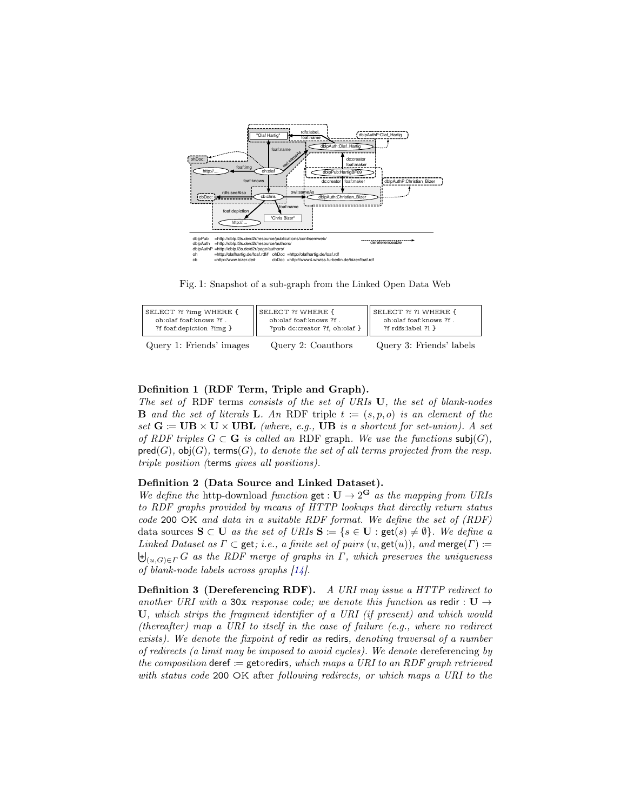<span id="page-3-0"></span>

<span id="page-3-3"></span><span id="page-3-2"></span>Fig. 1: Snapshot of a sub-graph from the Linked Open Data Web

<span id="page-3-1"></span>

| SELECT ?f ?img WHERE {   | SELECT ?f WHERE {             | SELECT ?f ?l WHERE {     |
|--------------------------|-------------------------------|--------------------------|
| oh:olaf foaf:knows ?f.   | oh:olaf foaf:knows ?f.        | oh:olaf foaf:knows ?f.   |
| ?f foaf:depiction ?img } | ?pub dc:creator ?f, oh:olaf } | ?f rdfs:label ?l }       |
| Query 1: Friends' images | Query 2: Coauthors            | Query 3: Friends' labels |

### Definition 1 (RDF Term, Triple and Graph).

The set of RDF terms consists of the set of URIs U, the set of blank-nodes **B** and the set of literals **L**. An RDF triple  $t := (s, p, o)$  is an element of the set  $G := UB \times U \times UBL$  (where, e.g., UB is a shortcut for set-union). A set of RDF triples  $G \subset \mathbf{G}$  is called an RDF graph. We use the functions  $\mathsf{subj}(G)$ ,  $\textsf{pred}(G)$ ,  $\textsf{obj}(G)$ , terms $(G)$ , to denote the set of all terms projected from the resp. triple position (terms gives all positions).

### Definition 2 (Data Source and Linked Dataset).

We define the http-download function get :  $U \rightarrow 2^G$  as the mapping from URIs to RDF graphs provided by means of HTTP lookups that directly return status code 200 OK and data in a suitable RDF format. We define the set of (RDF) data sources  $S \subset U$  as the set of URIs  $S := \{s \in U : \text{get}(s) \neq \emptyset\}$ . We define a Linked Dataset as  $\Gamma \subset \text{get}$ ; i.e., a finite set of pairs  $(u, \text{get}(u))$ , and merge $(\Gamma) :=$  $\biguplus_{(u,G)\in \varGamma}G$  as the RDF merge of graphs in  $\varGamma,$  which preserves the uniqueness of blank-node labels across graphs [\[14\]](#page-15-19).

Definition 3 (Dereferencing RDF). A URI may issue a HTTP redirect to another URI with a 30x response code; we denote this function as redir :  $U \rightarrow$ U, which strips the fragment identifier of a URI (if present) and which would (thereafter) map a URI to itself in the case of failure  $(e.g.,$  where no redirect exists). We denote the fixpoint of redir as redirs, denoting traversal of a number of redirects (a limit may be imposed to avoid cycles). We denote dereferencing by the composition deref := get $\circ$ redirs, which maps a URI to an RDF graph retrieved with status code 200 OK after following redirects, or which maps a URI to the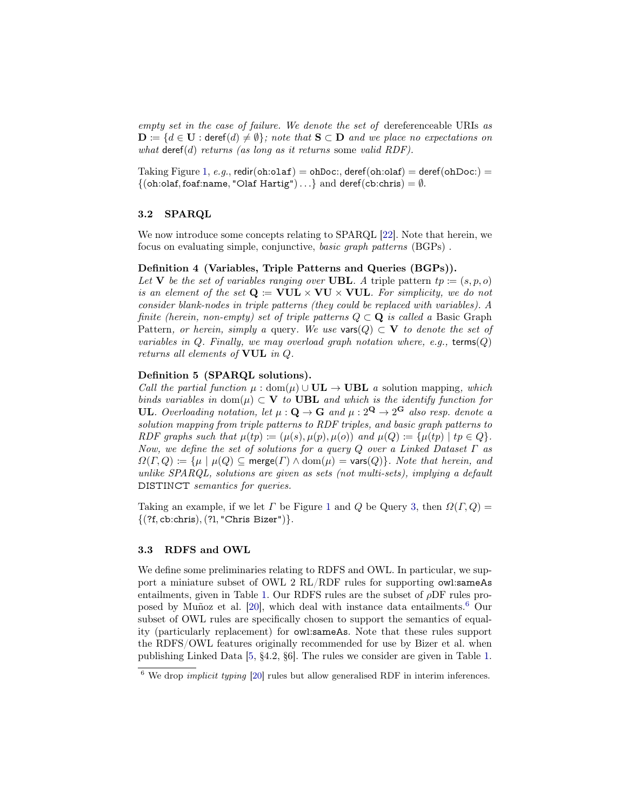empty set in the case of failure. We denote the set of dereferenceable URIs as  $\mathbf{D} := \{d \in \mathbf{U} : \text{derf}(d) \neq \emptyset\};$  note that  $\mathbf{S} \subset \mathbf{D}$  and we place no expectations on what deref(d) returns (as long as it returns some valid RDF).

Taking Figure [1,](#page-3-0) e.g., redir(oh:olaf) = ohDoc:, deref(oh:olaf) = deref(ohDoc:) =  $\{(\text{oh:olaf}, \text{foaf:name}, \text{``Olaf Hartig''}) \dots \}$  and deref(cb:chris) =  $\emptyset$ .

### <span id="page-4-0"></span>3.2 SPARQL

We now introduce some concepts relating to SPARQL [\[22\]](#page-15-2). Note that herein, we focus on evaluating simple, conjunctive, basic graph patterns (BGPs) .

#### Definition 4 (Variables, Triple Patterns and Queries (BGPs)).

Let V be the set of variables ranging over UBL. A triple pattern  $tp := (s, p, o)$ is an element of the set  $Q := VUL \times VU \times VUL$ . For simplicity, we do not consider blank-nodes in triple patterns (they could be replaced with variables). A finite (herein, non-empty) set of triple patterns  $Q \subset \mathbf{Q}$  is called a Basic Graph Pattern, or herein, simply a query. We use vars(Q)  $\subset$  V to denote the set of variables in Q. Finally, we may overload graph notation where, e.g., terms( $Q$ ) returns all elements of VUL in Q.

#### Definition 5 (SPARQL solutions).

Call the partial function  $\mu : dom(\mu) \cup UL \rightarrow UBL$  a solution mapping, which binds variables in dom( $\mu$ )  $\subset$  **V** to **UBL** and which is the identify function for **UL**. Overloading notation, let  $\mu$  :  $\mathbf{Q} \to \mathbf{G}$  and  $\mu$  :  $2^{\mathbf{Q}} \to 2^{\mathbf{G}}$  also resp. denote a solution mapping from triple patterns to RDF triples, and basic graph patterns to RDF graphs such that  $\mu(tp) := (\mu(s), \mu(p), \mu(o))$  and  $\mu(Q) := {\mu(tp) | tp \in Q}.$ Now, we define the set of solutions for a query  $Q$  over a Linked Dataset  $\Gamma$  as  $\Omega(\Gamma, Q) := \{ \mu \mid \mu(Q) \subseteq \text{merge}(\Gamma) \land \text{dom}(\mu) = \text{vars}(Q) \}.$  Note that herein, and unlike SPARQL, solutions are given as sets (not multi-sets), implying a default DISTINCT semantics for queries.

Taking an example, if we let  $\Gamma$  be Figure [1](#page-3-0) and  $\overline{Q}$  be Query [3,](#page-3-3) then  $\Omega(\Gamma, Q)$  =  $\{(?f, cb:chris), (?l, "Chris Bizer")\}.$ 

#### <span id="page-4-1"></span>3.3 RDFS and OWL

We define some preliminaries relating to RDFS and OWL. In particular, we support a miniature subset of OWL 2 RL/RDF rules for supporting owl:sameAs entailments, given in Table [1.](#page-5-0) Our RDFS rules are the subset of  $\rho$ DF rules proposed by Muñoz et al. [\[20\]](#page-15-5), which deal with instance data entailments.[6](#page-4-2) Our subset of OWL rules are specifically chosen to support the semantics of equality (particularly replacement) for owl:sameAs. Note that these rules support the RDFS/OWL features originally recommended for use by Bizer et al. when publishing Linked Data [\[5,](#page-15-20) §4.2, §6]. The rules we consider are given in Table [1.](#page-5-0)

<span id="page-4-3"></span><span id="page-4-2"></span> $6$  We drop *implicit typing* [\[20\]](#page-15-5) rules but allow generalised RDF in interim inferences.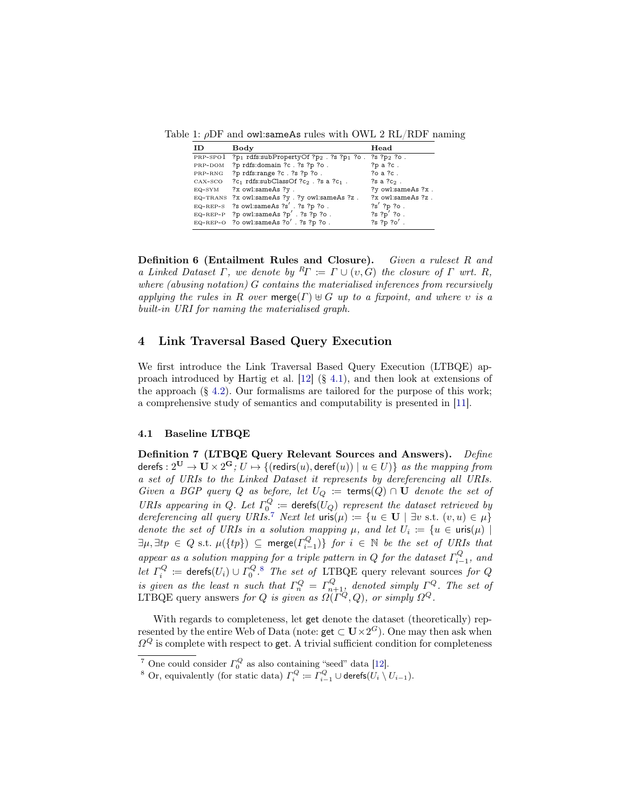<span id="page-5-0"></span>Table 1:  $\rho$ DF and owl:sameAs rules with OWL 2 RL/RDF naming

| ID             | Body                                             | Head              |
|----------------|--------------------------------------------------|-------------------|
| PRP-SPO1       | $?p_1$ rdfs:subPropertyOf $?p_2$ . ?s $?p_1$ ?o. | $?s ?p_2 ?o.$     |
| PRP-DOM        | ?p rdfs:domain ?c . ?s ?p ?o .                   | ?p a ?c.          |
| PRP-RNG        | ?p rdfs:range ?c . ?s ?p ?o .                    | ?o a ?c.          |
| $CAX-SCO$      | $?c_1$ rdfs:subClassOf $?c_2$ . ?s a $?c_1$ .    | ?s a $?c2$ .      |
| EQ-SYM         | ?x owl:sameAs ?y.                                | ?y owl:sameAs ?x. |
|                | EQ-TRANS ?x owl:sameAs ?y . ?y owl:sameAs ?z.    | ?x owl:sameAs ?z. |
| EQ-REP-S       | ?s owl:sameAs $?s'$ . ?s ?p ?o.                  | $?s'$ ?p ?o.      |
| $EQ - REP - P$ | ?p owl:sameAs $?p'$ . ?s ?p ?o.                  | $?s$ $?p'$ $?o$ . |
|                | EQ-REP-O ?o owl:sameAs ?o' . ?s ?p ?o.           | $?s$ $?p$ $?o'$ . |

Definition 6 (Entailment Rules and Closure). Given a ruleset R and a Linked Dataset Γ, we denote by  ${}^R\Gamma := \Gamma \cup (v, G)$  the closure of Γ wrt. R, where (abusing notation)  $G$  contains the materialised inferences from recursively applying the rules in R over  $\text{merge}(\Gamma) \oplus G$  up to a fixpoint, and where v is a built-in URI for naming the materialised graph.

# 4 Link Traversal Based Query Execution

We first introduce the Link Traversal Based Query Execution (LTBQE) approach introduced by Hartig et al. [\[12\]](#page-15-3) (§ [4.1\)](#page-5-1), and then look at extensions of the approach  $(\xi, 4.2)$  $(\xi, 4.2)$ . Our formalisms are tailored for the purpose of this work; a comprehensive study of semantics and computability is presented in [\[11\]](#page-15-21).

### <span id="page-5-1"></span>4.1 Baseline LTBQE

<span id="page-5-4"></span>Definition 7 (LTBQE Query Relevant Sources and Answers). Define derefs :  $2^{\bf U} \to {\bf U} \times 2^{\bf G};$   $U \mapsto \{({\rm redirs}(u),{\rm deref}(u)) \mid u \in U)\}$  as the mapping from a set of URIs to the Linked Dataset it represents by dereferencing all URIs. Given a BGP query Q as before, let  $U_Q := \text{terms}(Q) \cap U$  denote the set of URIs appearing in Q. Let  $\Gamma_0^Q := \text{deres}(U_Q)$  represent the dataset retrieved by dereferencing all query URIs.<sup>[7](#page-5-2)</sup> Next let uris( $\mu$ ) := { $u \in U \mid \exists v$  s.t.  $(v, u) \in \mu$ } denote the set of URIs in a solution mapping  $\mu$ , and let  $U_i := \{u \in \text{uris}(\mu) \mid$  $\exists \mu, \exists tp \ \in \ Q \text{ s.t. } \mu(\{tp\}) \ \subseteq \ \mathsf{merge}(\varGamma^Q_{i-1})\} \ \textit{for} \ \ i \ \in \ \mathbb{N} \ \textit{be the set of URLs that}$ appear as a solution mapping for a triple pattern in Q for the dataset  $\Gamma_{i-1}^Q$ , and *let*  $\Gamma_i^Q := \text{deres}(U_i) \cup \Gamma_0^Q$ .<sup>[8](#page-5-3)</sup> The set of LTBQE query relevant sources for Q is given as the least n such that  $\Gamma_n^Q = \Gamma_{n+1}^Q$ , denoted simply  $\Gamma_{\cdot}^Q$ . The set of LTBQE query answers for Q is given as  $\Omega(\Gamma^Q,Q)$ , or simply  $\Omega^Q$ .

With regards to completeness, let get denote the dataset (theoretically) represented by the entire Web of Data (note:  $get \subset U \times 2^G$ ). One may then ask when  $\Omega^Q$  is complete with respect to get. A trivial sufficient condition for completeness

<span id="page-5-2"></span><sup>&</sup>lt;sup>7</sup> One could consider  $\Gamma_0^Q$  as also containing "seed" data [\[12\]](#page-15-3).

<span id="page-5-3"></span><sup>&</sup>lt;sup>8</sup> Or, equivalently (for static data)  $\varGamma_i^Q := \varGamma_{i-1}^Q \cup \mathsf{derefs}(U_i \setminus U_{i-1}).$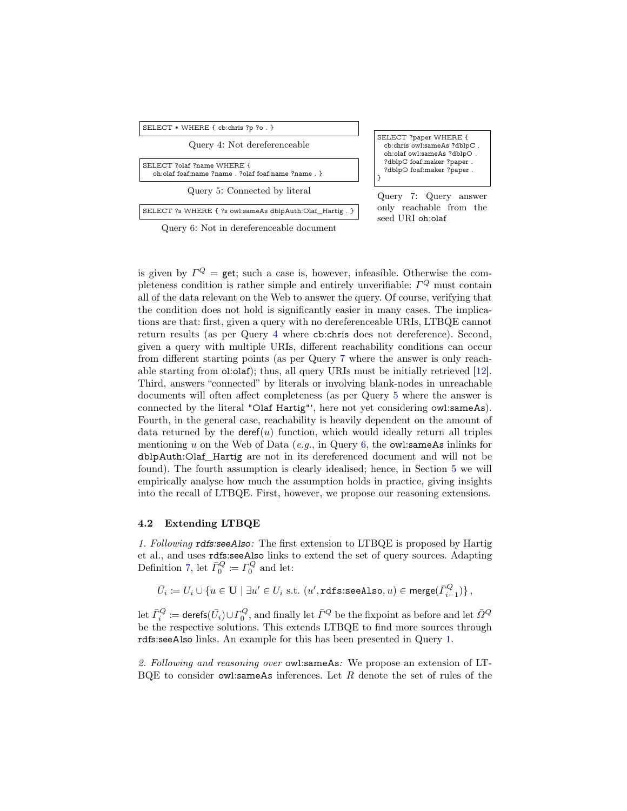<span id="page-6-3"></span><span id="page-6-2"></span><span id="page-6-1"></span>

<span id="page-6-4"></span>is given by  $\Gamma^Q =$  get; such a case is, however, infeasible. Otherwise the completeness condition is rather simple and entirely unverifiable:  $\Gamma^Q$  must contain all of the data relevant on the Web to answer the query. Of course, verifying that the condition does not hold is significantly easier in many cases. The implications are that: first, given a query with no dereferenceable URIs, LTBQE cannot return results (as per Query [4](#page-6-1) where cb:chris does not dereference). Second, given a query with multiple URIs, different reachability conditions can occur from different starting points (as per Query [7](#page-6-2) where the answer is only reachable starting from ol:olaf); thus, all query URIs must be initially retrieved [\[12\]](#page-15-3). Third, answers "connected" by literals or involving blank-nodes in unreachable documents will often affect completeness (as per Query [5](#page-6-3) where the answer is connected by the literal "Olaf Hartig"', here not yet considering owl:sameAs). Fourth, in the general case, reachability is heavily dependent on the amount of data returned by the  $\text{deref}(u)$  function, which would ideally return all triples mentioning u on the Web of Data  $(e.g., in Query 6, the \text{ owl:sameAs inlinks for})$  $(e.g., in Query 6, the \text{ owl:sameAs inlinks for})$  $(e.g., in Query 6, the \text{ owl:sameAs inlinks for})$ dblpAuth:Olaf\_Hartig are not in its dereferenced document and will not be found). The fourth assumption is clearly idealised; hence, in Section [5](#page-7-0) we will empirically analyse how much the assumption holds in practice, giving insights into the recall of LTBQE. First, however, we propose our reasoning extensions.

### <span id="page-6-0"></span>4.2 Extending LTBQE

1. Following rdfs:seeAlso: The first extension to LTBQE is proposed by Hartig et al., and uses rdfs:seeAlso links to extend the set of query sources. Adapting Definition [7,](#page-5-4) let  $\bar{\Gamma}_0^Q := \Gamma_0^Q$  and let:

$$
\bar{U_i} \coloneqq U_i \cup \{ u \in \mathbf{U} \mid \exists u' \in U_i \text{ s.t. } (u', \texttt{rdfs:see} \texttt{Also}, u) \in \texttt{merge}(\bar{\varGamma}_{i-1}^Q) \} \, ,
$$

let  $\bar{\varGamma}_i^Q:=\mathsf{derefs}(\bar{U}_i)\cup\varGamma_0^Q,$  and finally let  $\bar{\varGamma}^Q$  be the fixpoint as before and let  $\bar{\varOmega}^Q$ be the respective solutions. This extends LTBQE to find more sources through rdfs:seeAlso links. An example for this has been presented in Query [1.](#page-3-1)

2. Following and reasoning over owl:sameAs: We propose an extension of LT-BQE to consider owl:sameAs inferences. Let  $R$  denote the set of rules of the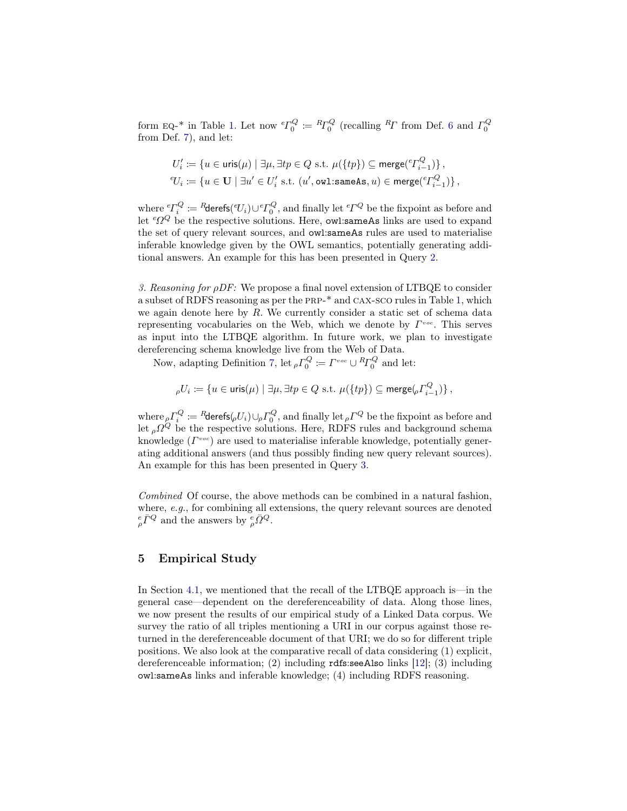form EQ-\* in Table [1.](#page-5-0) Let now  ${}^e\! \Gamma_0^Q := {}^R\! \Gamma_0^Q$  (recalling  ${}^R\! \Gamma$  from Def. [6](#page-4-3) and  $\Gamma_0^Q$ from Def. [7\)](#page-5-4), and let:

$$
\begin{aligned} U_i' &:= \{ u \in \mathsf{uris}(\mu) \mid \exists \mu, \exists tp \in Q \text{ s.t. } \mu(\{ tp \}) \subseteq \mathsf{merge}(^eI_{i-1}^Q) \}\,, \\ v_i &:= \{ u \in \mathbf{U} \mid \exists u' \in U_i' \text{ s.t. } (u', \mathtt{owl:sameAs}, u) \in \mathsf{merge}(^eI_{i-1}^Q) \}\,, \end{aligned}
$$

where  ${}^e_{}T^Q_i := {}^R_{}{\text{derefs}}({}^e\!U_i) \cup {}^e\!I^Q_0$ , and finally let  ${}^e\!I^Q$  be the fixpoint as before and let  ${}^e\Omega^Q$  be the respective solutions. Here, owl:sameAs links are used to expand the set of query relevant sources, and owl:sameAs rules are used to materialise inferable knowledge given by the OWL semantics, potentially generating additional answers. An example for this has been presented in Query [2.](#page-3-2)

3. Reasoning for  $\rho DF$ : We propose a final novel extension of LTBQE to consider a subset of RDFS reasoning as per the prp-\* and cax-sco rules in Table [1,](#page-5-0) which we again denote here by  $R$ . We currently consider a static set of schema data representing vocabularies on the Web, which we denote by  $\Gamma^{vac}$ . This serves as input into the LTBQE algorithm. In future work, we plan to investigate dereferencing schema knowledge live from the Web of Data.

Now, adapting Definition [7,](#page-5-4) let  ${}_{\rho}\Gamma_{0}^{Q} := \Gamma^{\scriptscriptstyle{voc}} \cup {}^{R}\Gamma_{0}^{Q}$  and let:

$$
_{\rho}U_i:=\{u\in\mathrm{uris}(\mu)\mid \exists\mu,\exists tp\in Q\text{ s.t. }\mu(\{tp\})\subseteq\mathrm{merge}(\_{\rho}\varGamma_{i-1}^{Q})\}\,,
$$

 $\mathrm{where\,}_\rho\varGamma_i^Q:= {}^R\!\mathsf{derefs}(\rho U_i)\cup_\rho\varGamma_0^Q, \text{ and finally let, \varGamma^Q \text{ be the fixpoint as before and }$ let  $_{\rho} \Omega^Q$  be the respective solutions. Here, RDFS rules and background schema knowledge  $(\Gamma^{voc})$  are used to materialise inferable knowledge, potentially generating additional answers (and thus possibly finding new query relevant sources). An example for this has been presented in Query [3.](#page-3-3)

Combined Of course, the above methods can be combined in a natural fashion, where,  $e, q$ , for combining all extensions, the query relevant sources are denoted  $e^{\rho} \bar{\Gamma}^Q$  and the answers by  $e^{\rho} \bar{\Omega}^Q$ .

# <span id="page-7-0"></span>5 Empirical Study

In Section [4.1,](#page-5-1) we mentioned that the recall of the LTBQE approach is—in the general case—dependent on the dereferenceability of data. Along those lines, we now present the results of our empirical study of a Linked Data corpus. We survey the ratio of all triples mentioning a URI in our corpus against those returned in the dereferenceable document of that URI; we do so for different triple positions. We also look at the comparative recall of data considering (1) explicit, dereferenceable information; (2) including rdfs:seeAlso links [\[12\]](#page-15-3); (3) including owl:sameAs links and inferable knowledge; (4) including RDFS reasoning.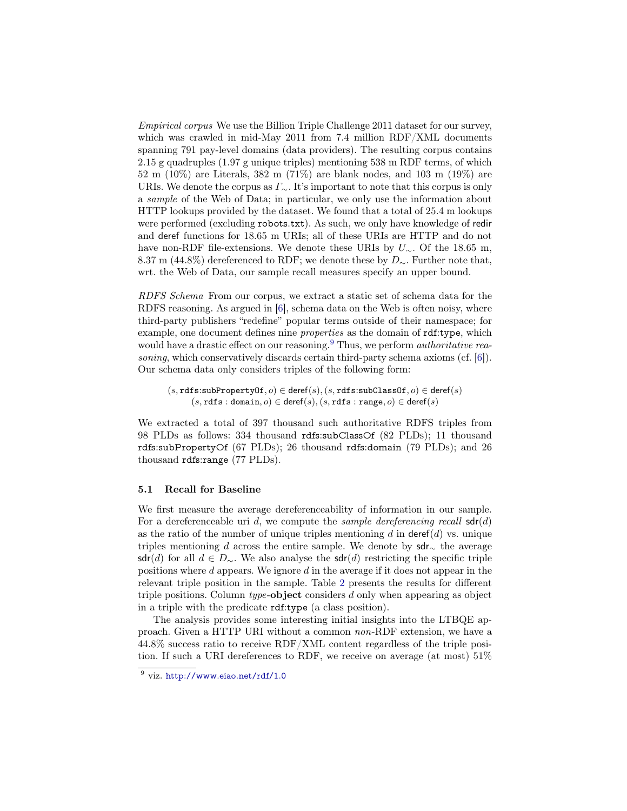Empirical corpus We use the Billion Triple Challenge 2011 dataset for our survey, which was crawled in mid-May 2011 from 7.4 million RDF/XML documents spanning 791 pay-level domains (data providers). The resulting corpus contains 2.15 g quadruples (1.97 g unique triples) mentioning 538 m RDF terms, of which 52 m (10%) are Literals, 382 m (71%) are blank nodes, and 103 m (19%) are URIs. We denote the corpus as  $\Gamma_{\sim}$ . It's important to note that this corpus is only a sample of the Web of Data; in particular, we only use the information about HTTP lookups provided by the dataset. We found that a total of 25.4 m lookups were performed (excluding robots.txt). As such, we only have knowledge of redir and deref functions for 18.65 m URIs; all of these URIs are HTTP and do not have non-RDF file-extensions. We denote these URIs by  $U_{\sim}$ . Of the 18.65 m, 8.37 m (44.8%) dereferenced to RDF; we denote these by  $D_{\infty}$ . Further note that, wrt. the Web of Data, our sample recall measures specify an upper bound.

RDFS Schema From our corpus, we extract a static set of schema data for the RDFS reasoning. As argued in [\[6\]](#page-15-22), schema data on the Web is often noisy, where third-party publishers "redefine" popular terms outside of their namespace; for example, one document defines nine *properties* as the domain of rdf:type, which would have a drastic effect on our reasoning.<sup>[9](#page-8-0)</sup> Thus, we perform *authoritative rea*-soning, which conservatively discards certain third-party schema axioms (cf. [\[6\]](#page-15-22)). Our schema data only considers triples of the following form:

 $(s, \texttt{rdfs:subPropertyOf}, o) \in \text{deref}(s), (s, \texttt{rdfs:subClassOf}, o) \in \text{deref}(s)$  $(s, \texttt{rdfs} : \texttt{domain}, o) \in \text{deref}(s), (s, \texttt{rdfs} : \texttt{range}, o) \in \text{deref}(s)$ 

We extracted a total of 397 thousand such authoritative RDFS triples from 98 PLDs as follows: 334 thousand rdfs:subClassOf (82 PLDs); 11 thousand rdfs:subPropertyOf (67 PLDs); 26 thousand rdfs:domain (79 PLDs); and 26 thousand rdfs:range (77 PLDs).

#### 5.1 Recall for Baseline

We first measure the average dereferenceability of information in our sample. For a dereferenceable uri d, we compute the *sample dereferencing recall*  $\mathsf{sdr}(d)$ as the ratio of the number of unique triples mentioning d in deref(d) vs. unique triples mentioning d across the entire sample. We denote by  $sdr$  the average sdr(d) for all  $d \in D_{\infty}$ . We also analyse the sdr(d) restricting the specific triple positions where  $d$  appears. We ignore  $d$  in the average if it does not appear in the relevant triple position in the sample. Table [2](#page-9-0) presents the results for different triple positions. Column type-object considers d only when appearing as object in a triple with the predicate rdf:type (a class position).

The analysis provides some interesting initial insights into the LTBQE approach. Given a HTTP URI without a common non-RDF extension, we have a 44.8% success ratio to receive RDF/XML content regardless of the triple position. If such a URI dereferences to RDF, we receive on average (at most) 51%

<span id="page-8-0"></span> $^9$  viz. <http://www.eiao.net/rdf/1.0>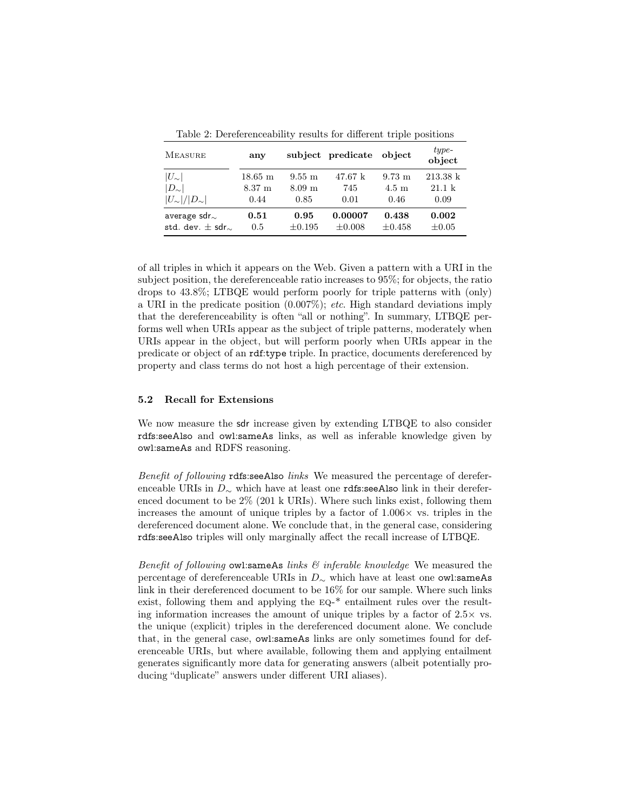<span id="page-9-0"></span>

| <b>MEASURE</b>           | any               |                  | subject predicate | obiect           | $type-$<br>object  |
|--------------------------|-------------------|------------------|-------------------|------------------|--------------------|
| $ U_{\sim} $             | $18.65 \text{ m}$ | $9.55 \text{ m}$ | 47.67 k           | $9.73 \text{ m}$ | $213.38 \text{ k}$ |
| $ D_\sim $               | $8.37 \text{ m}$  | $8.09 \text{ m}$ | 745               | $4.5 \text{ m}$  | 21.1 k             |
| $ U_{\sim} / D_{\sim} $  | 0.44              | 0.85             | 0.01              | 0.46             | 0.09               |
| average sdr $\sim$       | 0.51              | 0.95             | 0.00007           | 0.438            | 0.002              |
| std. dev. $+$ sdr $\sim$ | 0.5               | $\pm 0.195$      | $\pm 0.008$       | $\pm 0.458$      | $\pm 0.05$         |

Table 2: Dereferenceability results for different triple positions

of all triples in which it appears on the Web. Given a pattern with a URI in the subject position, the dereferenceable ratio increases to 95%; for objects, the ratio drops to 43.8%; LTBQE would perform poorly for triple patterns with (only) a URI in the predicate position  $(0.007\%)$ ; *etc.* High standard deviations imply that the dereferenceability is often "all or nothing". In summary, LTBQE performs well when URIs appear as the subject of triple patterns, moderately when URIs appear in the object, but will perform poorly when URIs appear in the predicate or object of an rdf:type triple. In practice, documents dereferenced by property and class terms do not host a high percentage of their extension.

### 5.2 Recall for Extensions

We now measure the sdr increase given by extending LTBQE to also consider rdfs:seeAlso and owl:sameAs links, as well as inferable knowledge given by owl:sameAs and RDFS reasoning.

Benefit of following rdfs:seeAlso links We measured the percentage of dereferenceable URIs in D<sup>∼</sup> which have at least one rdfs:seeAlso link in their dereferenced document to be 2% (201 k URIs). Where such links exist, following them increases the amount of unique triples by a factor of  $1.006 \times$  vs. triples in the dereferenced document alone. We conclude that, in the general case, considering rdfs:seeAlso triples will only marginally affect the recall increase of LTBQE.

Benefit of following owl:sameAs links  $\mathcal{B}'$  inferable knowledge. We measured the percentage of dereferenceable URIs in D<sup>∼</sup> which have at least one owl:sameAs link in their dereferenced document to be 16% for our sample. Where such links exist, following them and applying the eq-\* entailment rules over the resulting information increases the amount of unique triples by a factor of  $2.5 \times$  vs. the unique (explicit) triples in the dereferenced document alone. We conclude that, in the general case, owl:sameAs links are only sometimes found for deferenceable URIs, but where available, following them and applying entailment generates significantly more data for generating answers (albeit potentially producing "duplicate" answers under different URI aliases).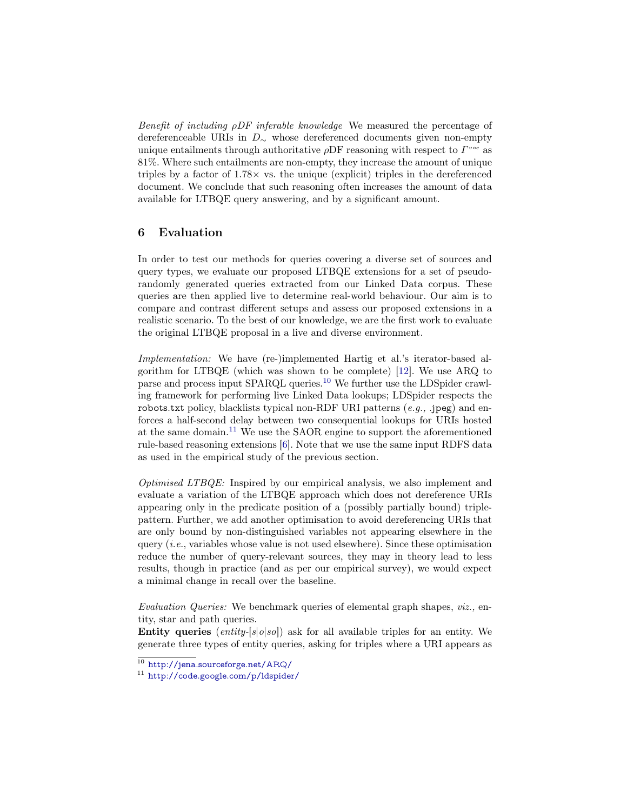Benefit of including  $\rho DF$  inferable knowledge. We measured the percentage of dereferenceable URIs in D<sup>∼</sup> whose dereferenced documents given non-empty unique entailments through authoritative  $\rho$ DF reasoning with respect to  $\Gamma^{voc}$  as 81%. Where such entailments are non-empty, they increase the amount of unique triples by a factor of  $1.78 \times$  vs. the unique (explicit) triples in the dereferenced document. We conclude that such reasoning often increases the amount of data available for LTBQE query answering, and by a significant amount.

### 6 Evaluation

In order to test our methods for queries covering a diverse set of sources and query types, we evaluate our proposed LTBQE extensions for a set of pseudorandomly generated queries extracted from our Linked Data corpus. These queries are then applied live to determine real-world behaviour. Our aim is to compare and contrast different setups and assess our proposed extensions in a realistic scenario. To the best of our knowledge, we are the first work to evaluate the original LTBQE proposal in a live and diverse environment.

Implementation: We have (re-)implemented Hartig et al.'s iterator-based algorithm for LTBQE (which was shown to be complete) [\[12\]](#page-15-3). We use ARQ to parse and process input SPARQL queries.[10](#page-10-0) We further use the LDSpider crawling framework for performing live Linked Data lookups; LDSpider respects the robots.txt policy, blacklists typical non-RDF URI patterns  $(e,q, \cdot)$  ipeg) and enforces a half-second delay between two consequential lookups for URIs hosted at the same domain.[11](#page-10-1) We use the SAOR engine to support the aforementioned rule-based reasoning extensions [\[6\]](#page-15-22). Note that we use the same input RDFS data as used in the empirical study of the previous section.

Optimised LTBQE: Inspired by our empirical analysis, we also implement and evaluate a variation of the LTBQE approach which does not dereference URIs appearing only in the predicate position of a (possibly partially bound) triplepattern. Further, we add another optimisation to avoid dereferencing URIs that are only bound by non-distinguished variables not appearing elsewhere in the query  $(i.e., variables whose value is not used elsewhere)$ . Since these optimisation reduce the number of query-relevant sources, they may in theory lead to less results, though in practice (and as per our empirical survey), we would expect a minimal change in recall over the baseline.

Evaluation Queries: We benchmark queries of elemental graph shapes, viz., entity, star and path queries.

**Entity queries** (entity-[s|o|so]) ask for all available triples for an entity. We generate three types of entity queries, asking for triples where a URI appears as

<span id="page-10-0"></span><sup>10</sup> <http://jena.sourceforge.net/ARQ/>

<span id="page-10-1"></span><sup>11</sup> <http://code.google.com/p/ldspider/>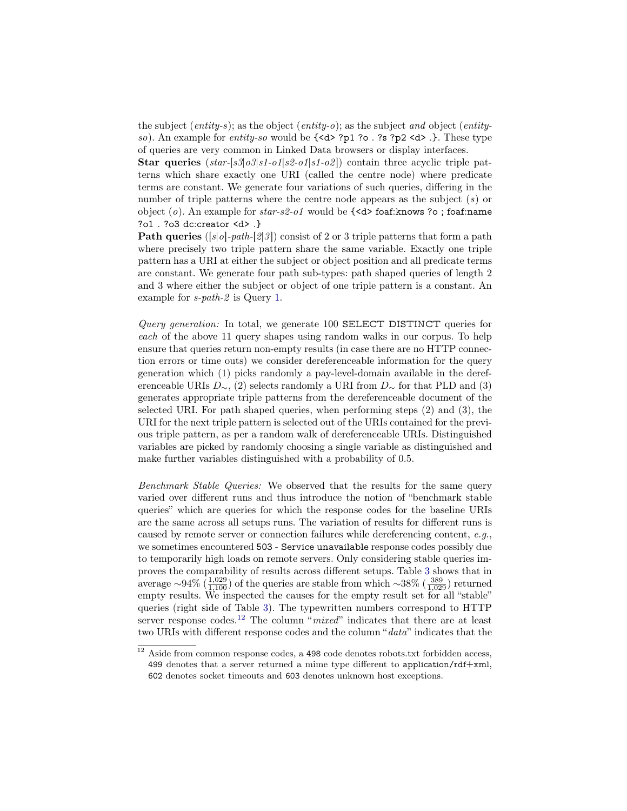the subject (*entity-s*); as the object (*entity-o*); as the subject and object (*entity*so). An example for entity-so would be  $\{\langle d \rangle$  ?p1 ?o . ?s ?p2 <d> .}. These type of queries are very common in Linked Data browsers or display interfaces.

Star queries  $(s \tan \left[s \right] \theta s \sin \left[s \right] - \theta s \sin \left[s \right] - \theta s \sin \left[s \right]$  contain three acyclic triple patterns which share exactly one URI (called the centre node) where predicate terms are constant. We generate four variations of such queries, differing in the number of triple patterns where the centre node appears as the subject  $(s)$  or object (*o*). An example for  $star-s2-01$  would be  $\{\langle d\rangle\}$  foaf: knows ?o; foaf: name ?o1 . ?o3 dc:creator <d> .}

**Path queries** ([s|o]-path-[2]3]) consist of 2 or 3 triple patterns that form a path where precisely two triple pattern share the same variable. Exactly one triple pattern has a URI at either the subject or object position and all predicate terms are constant. We generate four path sub-types: path shaped queries of length 2 and 3 where either the subject or object of one triple pattern is a constant. An example for s-path-2 is Query [1.](#page-3-1)

Query generation: In total, we generate 100 SELECT DISTINCT queries for each of the above 11 query shapes using random walks in our corpus. To help ensure that queries return non-empty results (in case there are no HTTP connection errors or time outs) we consider dereferenceable information for the query generation which (1) picks randomly a pay-level-domain available in the dereferenceable URIs  $D_{\sim}$ , (2) selects randomly a URI from  $D_{\sim}$  for that PLD and (3) generates appropriate triple patterns from the dereferenceable document of the selected URI. For path shaped queries, when performing steps (2) and (3), the URI for the next triple pattern is selected out of the URIs contained for the previous triple pattern, as per a random walk of dereferenceable URIs. Distinguished variables are picked by randomly choosing a single variable as distinguished and make further variables distinguished with a probability of 0.5.

Benchmark Stable Queries: We observed that the results for the same query varied over different runs and thus introduce the notion of "benchmark stable queries" which are queries for which the response codes for the baseline URIs are the same across all setups runs. The variation of results for different runs is caused by remote server or connection failures while dereferencing content, e.g., we sometimes encountered 503 - Service unavailable response codes possibly due to temporarily high loads on remote servers. Only considering stable queries improves the comparability of results across different setups. Table [3](#page-12-0) shows that in average  $\sim$ 94% ( $\frac{1,029}{1,100}$ ) of the queries are stable from which  $\sim$ 38% ( $\frac{389}{1,029}$ ) returned empty results. We inspected the causes for the empty result set for all "stable" queries (right side of Table [3\)](#page-12-0). The typewritten numbers correspond to HTTP server response codes.<sup>[12](#page-11-0)</sup> The column " $mixed$ " indicates that there are at least two URIs with different response codes and the column "data" indicates that the

<span id="page-11-0"></span> $^{12}$  Aside from common response codes, a  $498$  code denotes robots.txt forbidden access, 499 denotes that a server returned a mime type different to application/rdf+xml, 602 denotes socket timeouts and 603 denotes unknown host exceptions.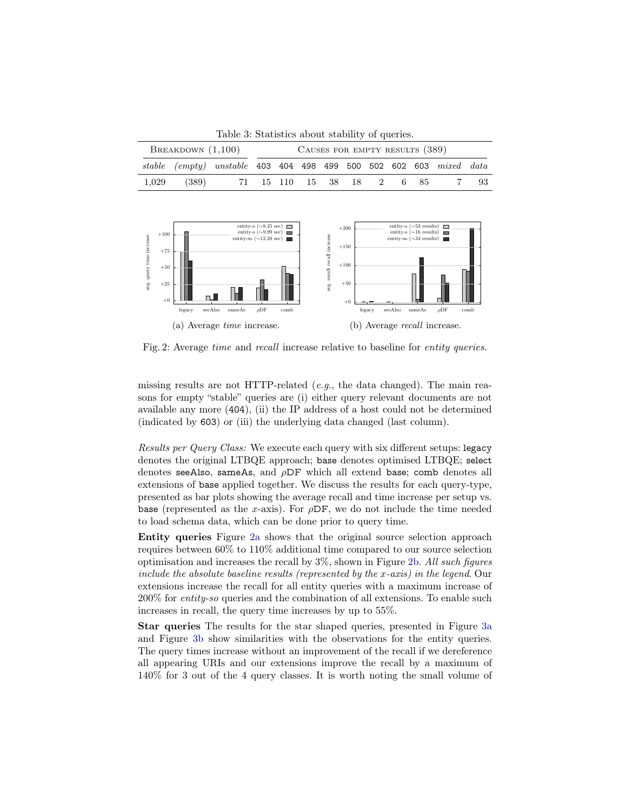Table 3: Statistics about stability of queries.

<span id="page-12-0"></span>

| BREAKDOWN $(1,100)$ |       |                                                                    |  |                           |  | CAUSES FOR EMPTY RESULTS (389) |     |
|---------------------|-------|--------------------------------------------------------------------|--|---------------------------|--|--------------------------------|-----|
|                     |       | stable (empty) unstable 403 404 498 499 500 502 602 603 mixed data |  |                           |  |                                |     |
| 1.029               | (389) |                                                                    |  | 71 15 110 15 38 18 2 6 85 |  |                                | 93- |

<span id="page-12-1"></span>

<span id="page-12-2"></span>Fig. 2: Average time and recall increase relative to baseline for entity queries.

missing results are not HTTP-related  $(e.g., the data changed)$ . The main reasons for empty "stable" queries are (i) either query relevant documents are not available any more (404), (ii) the IP address of a host could not be determined (indicated by 603) or (iii) the underlying data changed (last column).

Results per Query Class: We execute each query with six different setups: legacy denotes the original LTBQE approach; base denotes optimised LTBQE; select denotes seeAlso, sameAs, and  $\rho$ DF which all extend base; comb denotes all extensions of base applied together. We discuss the results for each query-type, presented as bar plots showing the average recall and time increase per setup vs. base (represented as the x-axis). For  $\rho$ DF, we do not include the time needed to load schema data, which can be done prior to query time.

Entity queries Figure [2a](#page-12-1) shows that the original source selection approach requires between 60% to 110% additional time compared to our source selection optimisation and increases the recall by  $3\%$ , shown in Figure [2b.](#page-12-2) All such figures include the absolute baseline results (represented by the x-axis) in the legend. Our extensions increase the recall for all entity queries with a maximum increase of 200% for entity-so queries and the combination of all extensions. To enable such increases in recall, the query time increases by up to 55%.

Star queries The results for the star shaped queries, presented in Figure [3a](#page-13-0) and Figure [3b](#page-13-1) show similarities with the observations for the entity queries. The query times increase without an improvement of the recall if we dereference all appearing URIs and our extensions improve the recall by a maximum of 140% for 3 out of the 4 query classes. It is worth noting the small volume of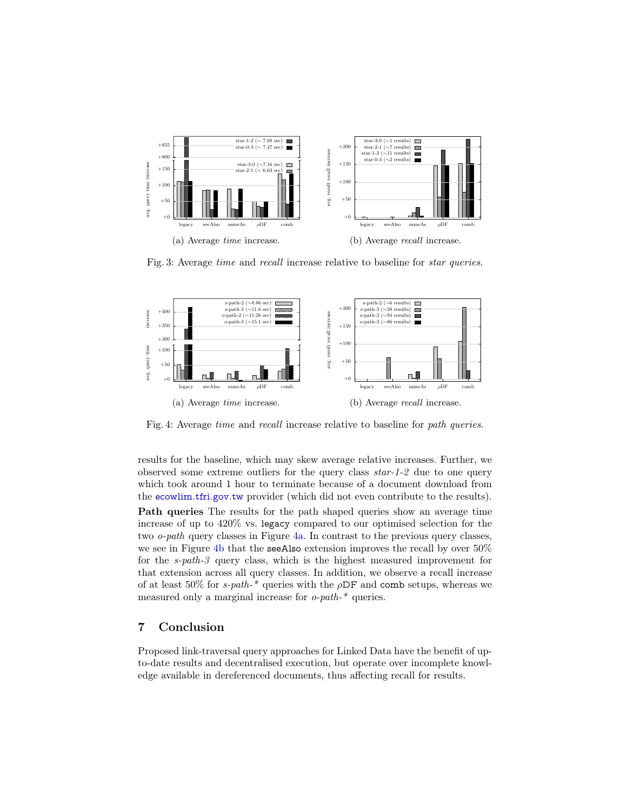<span id="page-13-0"></span>

<span id="page-13-1"></span>Fig. 3: Average time and recall increase relative to baseline for star queries.

<span id="page-13-2"></span>

<span id="page-13-3"></span>Fig. 4: Average time and recall increase relative to baseline for path queries.

results for the baseline, which may skew average relative increases. Further, we observed some extreme outliers for the query class star-1-2 due to one query which took around 1 hour to terminate because of a document download from the <ecowlim.tfri.gov.tw> provider (which did not even contribute to the results). Path queries The results for the path shaped queries show an average time increase of up to 420% vs. legacy compared to our optimised selection for the two o-path query classes in Figure [4a.](#page-13-2) In contrast to the previous query classes, we see in Figure [4b](#page-13-3) that the seeAlso extension improves the recall by over 50% for the s-path-3 query class, which is the highest measured improvement for that extension across all query classes. In addition, we observe a recall increase of at least 50% for s-path-\* queries with the  $\rho DF$  and comb setups, whereas we measured only a marginal increase for o-path-\* queries.

# 7 Conclusion

Proposed link-traversal query approaches for Linked Data have the benefit of upto-date results and decentralised execution, but operate over incomplete knowledge available in dereferenced documents, thus affecting recall for results.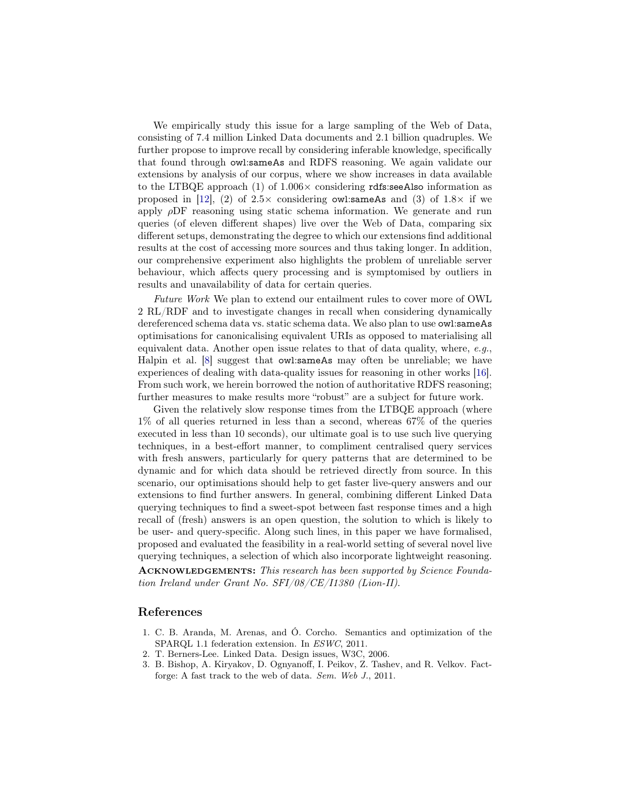We empirically study this issue for a large sampling of the Web of Data, consisting of 7.4 million Linked Data documents and 2.1 billion quadruples. We further propose to improve recall by considering inferable knowledge, specifically that found through owl:sameAs and RDFS reasoning. We again validate our extensions by analysis of our corpus, where we show increases in data available to the LTBQE approach (1) of  $1.006 \times$  considering rdfs:seeAlso information as proposed in [\[12\]](#page-15-3), (2) of 2.5 $\times$  considering owl:sameAs and (3) of 1.8 $\times$  if we apply  $\rho$ DF reasoning using static schema information. We generate and run queries (of eleven different shapes) live over the Web of Data, comparing six different setups, demonstrating the degree to which our extensions find additional results at the cost of accessing more sources and thus taking longer. In addition, our comprehensive experiment also highlights the problem of unreliable server behaviour, which affects query processing and is symptomised by outliers in results and unavailability of data for certain queries.

Future Work We plan to extend our entailment rules to cover more of OWL 2 RL/RDF and to investigate changes in recall when considering dynamically dereferenced schema data vs. static schema data. We also plan to use owl:sameAs optimisations for canonicalising equivalent URIs as opposed to materialising all equivalent data. Another open issue relates to that of data quality, where,  $e.g.,$ Halpin et al. [\[8\]](#page-15-23) suggest that owl:sameAs may often be unreliable; we have experiences of dealing with data-quality issues for reasoning in other works [\[16\]](#page-15-24). From such work, we herein borrowed the notion of authoritative RDFS reasoning; further measures to make results more "robust" are a subject for future work.

Given the relatively slow response times from the LTBQE approach (where 1% of all queries returned in less than a second, whereas 67% of the queries executed in less than 10 seconds), our ultimate goal is to use such live querying techniques, in a best-effort manner, to compliment centralised query services with fresh answers, particularly for query patterns that are determined to be dynamic and for which data should be retrieved directly from source. In this scenario, our optimisations should help to get faster live-query answers and our extensions to find further answers. In general, combining different Linked Data querying techniques to find a sweet-spot between fast response times and a high recall of (fresh) answers is an open question, the solution to which is likely to be user- and query-specific. Along such lines, in this paper we have formalised, proposed and evaluated the feasibility in a real-world setting of several novel live querying techniques, a selection of which also incorporate lightweight reasoning.

ACKNOWLEDGEMENTS: This research has been supported by Science Foundation Ireland under Grant No. SFI/08/CE/I1380 (Lion-II).

### References

- <span id="page-14-2"></span>1. C. B. Aranda, M. Arenas, and Ó. Corcho. Semantics and optimization of the SPARQL 1.1 federation extension. In ESWC, 2011.
- <span id="page-14-0"></span>2. T. Berners-Lee. Linked Data. Design issues, W3C, 2006.
- <span id="page-14-1"></span>3. B. Bishop, A. Kiryakov, D. Ognyanoff, I. Peikov, Z. Tashev, and R. Velkov. Factforge: A fast track to the web of data. Sem. Web J., 2011.